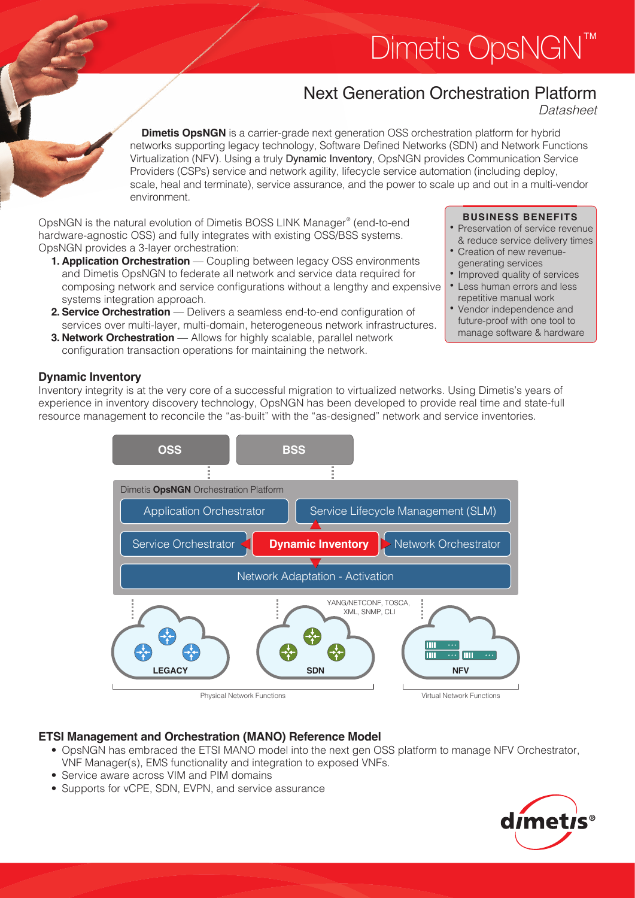# Dimetis OpsNGN<sup>'</sup>

# Next Generation Orchestration Platform

Datasheet

**Dimetis OpsNGN** is a carrier-grade next generation OSS orchestration platform for hybrid networks supporting legacy technology, Software Defined Networks (SDN) and Network Functions Virtualization (NFV). Using a truly Dynamic Inventory, OpsNGN provides Communication Service Providers (CSPs) service and network agility, lifecycle service automation (including deploy, scale, heal and terminate), service assurance, and the power to scale up and out in a multi-vendor environment.

OpsNGN is the natural evolution of Dimetis BOSS LINK Manager® (end-to-end hardware-agnostic OSS) and fully integrates with existing OSS/BSS systems. OpsNGN provides a 3-layer orchestration:

- **1. Application Orchestration** Coupling between legacy OSS environments and Dimetis OpsNGN to federate all network and service data required for composing network and service configurations without a lengthy and expensive systems integration approach.
- **2. Service Orchestration** Delivers a seamless end-to-end configuration of services over multi-layer, multi-domain, heterogeneous network infrastructures. **3. Network Orchestration** — Allows for highly scalable, parallel network
- configuration transaction operations for maintaining the network.

# **BUSINESS BENEFITS**

- Preservation of service revenue & reduce service delivery times
- Creation of new revenuegenerating services
- Improved quality of services
- Less human errors and less repetitive manual work
- • Vendor independence and future-proof with one tool to manage software & hardware

# **Dynamic Inventory**

Inventory integrity is at the very core of a successful migration to virtualized networks. Using Dimetis's years of experience in inventory discovery technology, OpsNGN has been developed to provide real time and state-full resource management to reconcile the "as-built" with the "as-designed" network and service inventories.



# **ETSI Management and Orchestration (MANO) Reference Model**

- OpsNGN has embraced the ETSI MANO model into the next gen OSS platform to manage NFV Orchestrator, VNF Manager(s), EMS functionality and integration to exposed VNFs.
- Service aware across VIM and PIM domains
- Supports for vCPE, SDN, EVPN, and service assurance